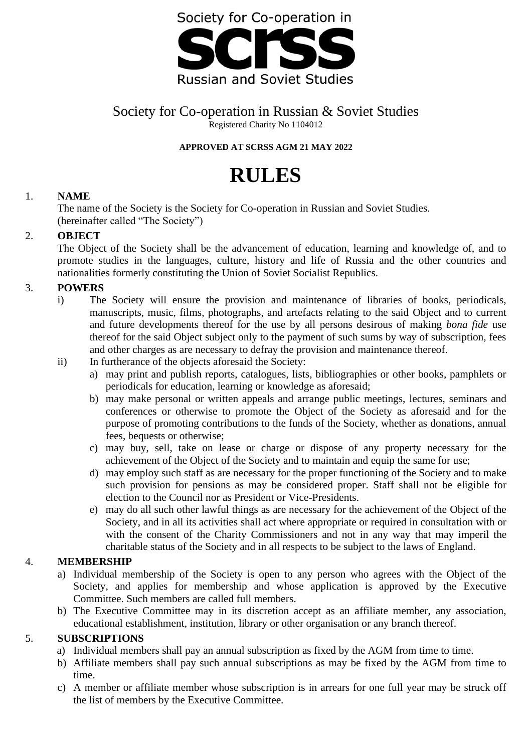

# Society for Co-operation in Russian & Soviet Studies Registered Charity No 1104012

#### **APPROVED AT SCRSS AGM 21 MAY 2022**

# **RULES**

# 1. **NAME**

The name of the Society is the Society for Co-operation in Russian and Soviet Studies. (hereinafter called "The Society")

### 2. **OBJECT**

The Object of the Society shall be the advancement of education, learning and knowledge of, and to promote studies in the languages, culture, history and life of Russia and the other countries and nationalities formerly constituting the Union of Soviet Socialist Republics.

# 3. **POWERS**

- i) The Society will ensure the provision and maintenance of libraries of books, periodicals, manuscripts, music, films, photographs, and artefacts relating to the said Object and to current and future developments thereof for the use by all persons desirous of making *bona fide* use thereof for the said Object subject only to the payment of such sums by way of subscription, fees and other charges as are necessary to defray the provision and maintenance thereof.
- ii) In furtherance of the objects aforesaid the Society:
	- a) may print and publish reports, catalogues, lists, bibliographies or other books, pamphlets or periodicals for education, learning or knowledge as aforesaid;
	- b) may make personal or written appeals and arrange public meetings, lectures, seminars and conferences or otherwise to promote the Object of the Society as aforesaid and for the purpose of promoting contributions to the funds of the Society, whether as donations, annual fees, bequests or otherwise;
	- c) may buy, sell, take on lease or charge or dispose of any property necessary for the achievement of the Object of the Society and to maintain and equip the same for use;
	- d) may employ such staff as are necessary for the proper functioning of the Society and to make such provision for pensions as may be considered proper. Staff shall not be eligible for election to the Council nor as President or Vice-Presidents.
	- e) may do all such other lawful things as are necessary for the achievement of the Object of the Society, and in all its activities shall act where appropriate or required in consultation with or with the consent of the Charity Commissioners and not in any way that may imperil the charitable status of the Society and in all respects to be subject to the laws of England.

#### 4. **MEMBERSHIP**

- a) Individual membership of the Society is open to any person who agrees with the Object of the Society, and applies for membership and whose application is approved by the Executive Committee. Such members are called full members.
- b) The Executive Committee may in its discretion accept as an affiliate member, any association, educational establishment, institution, library or other organisation or any branch thereof.

#### 5. **SUBSCRIPTIONS**

- a) Individual members shall pay an annual subscription as fixed by the AGM from time to time.
- b) Affiliate members shall pay such annual subscriptions as may be fixed by the AGM from time to time.
- c) A member or affiliate member whose subscription is in arrears for one full year may be struck off the list of members by the Executive Committee.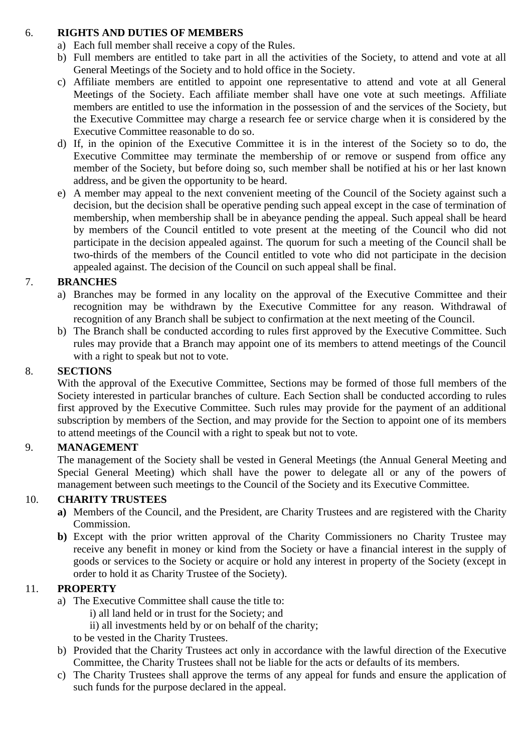### 6. **RIGHTS AND DUTIES OF MEMBERS**

- a) Each full member shall receive a copy of the Rules.
- b) Full members are entitled to take part in all the activities of the Society, to attend and vote at all General Meetings of the Society and to hold office in the Society.
- c) Affiliate members are entitled to appoint one representative to attend and vote at all General Meetings of the Society. Each affiliate member shall have one vote at such meetings. Affiliate members are entitled to use the information in the possession of and the services of the Society, but the Executive Committee may charge a research fee or service charge when it is considered by the Executive Committee reasonable to do so.
- d) If, in the opinion of the Executive Committee it is in the interest of the Society so to do, the Executive Committee may terminate the membership of or remove or suspend from office any member of the Society, but before doing so, such member shall be notified at his or her last known address, and be given the opportunity to be heard.
- e) A member may appeal to the next convenient meeting of the Council of the Society against such a decision, but the decision shall be operative pending such appeal except in the case of termination of membership, when membership shall be in abeyance pending the appeal. Such appeal shall be heard by members of the Council entitled to vote present at the meeting of the Council who did not participate in the decision appealed against. The quorum for such a meeting of the Council shall be two-thirds of the members of the Council entitled to vote who did not participate in the decision appealed against. The decision of the Council on such appeal shall be final.

# 7. **BRANCHES**

- a) Branches may be formed in any locality on the approval of the Executive Committee and their recognition may be withdrawn by the Executive Committee for any reason. Withdrawal of recognition of any Branch shall be subject to confirmation at the next meeting of the Council.
- b) The Branch shall be conducted according to rules first approved by the Executive Committee. Such rules may provide that a Branch may appoint one of its members to attend meetings of the Council with a right to speak but not to vote.

# 8. **SECTIONS**

With the approval of the Executive Committee, Sections may be formed of those full members of the Society interested in particular branches of culture. Each Section shall be conducted according to rules first approved by the Executive Committee. Such rules may provide for the payment of an additional subscription by members of the Section, and may provide for the Section to appoint one of its members to attend meetings of the Council with a right to speak but not to vote.

# 9. **MANAGEMENT**

The management of the Society shall be vested in General Meetings (the Annual General Meeting and Special General Meeting) which shall have the power to delegate all or any of the powers of management between such meetings to the Council of the Society and its Executive Committee.

# 10. **CHARITY TRUSTEES**

- **a)** Members of the Council, and the President, are Charity Trustees and are registered with the Charity Commission.
- **b)** Except with the prior written approval of the Charity Commissioners no Charity Trustee may receive any benefit in money or kind from the Society or have a financial interest in the supply of goods or services to the Society or acquire or hold any interest in property of the Society (except in order to hold it as Charity Trustee of the Society).

# 11. **PROPERTY**

- a) The Executive Committee shall cause the title to:
	- i) all land held or in trust for the Society; and
	- ii) all investments held by or on behalf of the charity;
	- to be vested in the Charity Trustees.
- b) Provided that the Charity Trustees act only in accordance with the lawful direction of the Executive Committee, the Charity Trustees shall not be liable for the acts or defaults of its members.
- c) The Charity Trustees shall approve the terms of any appeal for funds and ensure the application of such funds for the purpose declared in the appeal.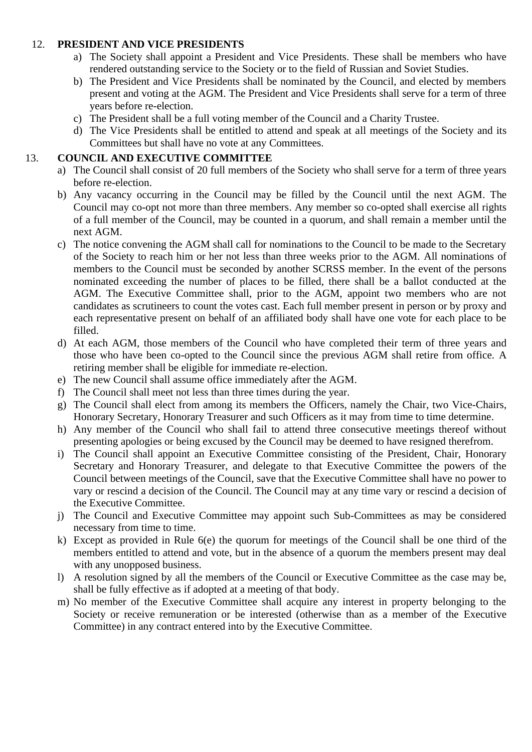#### 12. **PRESIDENT AND VICE PRESIDENTS**

- a) The Society shall appoint a President and Vice Presidents. These shall be members who have rendered outstanding service to the Society or to the field of Russian and Soviet Studies.
- b) The President and Vice Presidents shall be nominated by the Council, and elected by members present and voting at the AGM. The President and Vice Presidents shall serve for a term of three years before re-election.
- c) The President shall be a full voting member of the Council and a Charity Trustee.
- d) The Vice Presidents shall be entitled to attend and speak at all meetings of the Society and its Committees but shall have no vote at any Committees.

#### 13. **COUNCIL AND EXECUTIVE COMMITTEE**

- a) The Council shall consist of 20 full members of the Society who shall serve for a term of three years before re-election.
- b) Any vacancy occurring in the Council may be filled by the Council until the next AGM. The Council may co-opt not more than three members. Any member so co-opted shall exercise all rights of a full member of the Council, may be counted in a quorum, and shall remain a member until the next AGM.
- c) The notice convening the AGM shall call for nominations to the Council to be made to the Secretary of the Society to reach him or her not less than three weeks prior to the AGM. All nominations of members to the Council must be seconded by another SCRSS member. In the event of the persons nominated exceeding the number of places to be filled, there shall be a ballot conducted at the AGM. The Executive Committee shall, prior to the AGM, appoint two members who are not candidates as scrutineers to count the votes cast. Each full member present in person or by proxy and each representative present on behalf of an affiliated body shall have one vote for each place to be filled.
- d) At each AGM, those members of the Council who have completed their term of three years and those who have been co-opted to the Council since the previous AGM shall retire from office. A retiring member shall be eligible for immediate re-election.
- e) The new Council shall assume office immediately after the AGM.
- f) The Council shall meet not less than three times during the year.
- g) The Council shall elect from among its members the Officers, namely the Chair, two Vice-Chairs, Honorary Secretary, Honorary Treasurer and such Officers as it may from time to time determine.
- h) Any member of the Council who shall fail to attend three consecutive meetings thereof without presenting apologies or being excused by the Council may be deemed to have resigned therefrom.
- i) The Council shall appoint an Executive Committee consisting of the President, Chair, Honorary Secretary and Honorary Treasurer, and delegate to that Executive Committee the powers of the Council between meetings of the Council, save that the Executive Committee shall have no power to vary or rescind a decision of the Council. The Council may at any time vary or rescind a decision of the Executive Committee.
- j) The Council and Executive Committee may appoint such Sub-Committees as may be considered necessary from time to time.
- k) Except as provided in Rule 6(e) the quorum for meetings of the Council shall be one third of the members entitled to attend and vote, but in the absence of a quorum the members present may deal with any unopposed business.
- l) A resolution signed by all the members of the Council or Executive Committee as the case may be, shall be fully effective as if adopted at a meeting of that body.
- m) No member of the Executive Committee shall acquire any interest in property belonging to the Society or receive remuneration or be interested (otherwise than as a member of the Executive Committee) in any contract entered into by the Executive Committee.